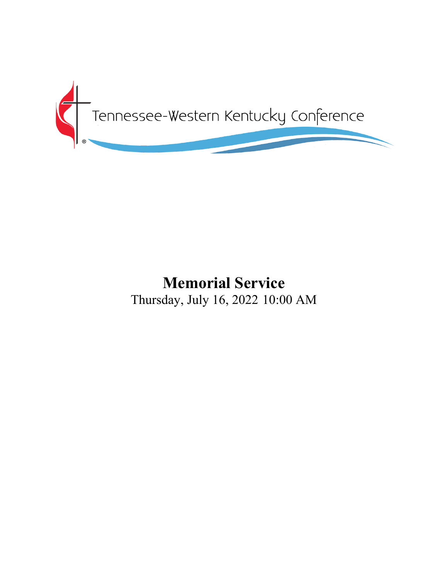

# **Memorial Service** Thursday, July 16, 2022 10:00 AM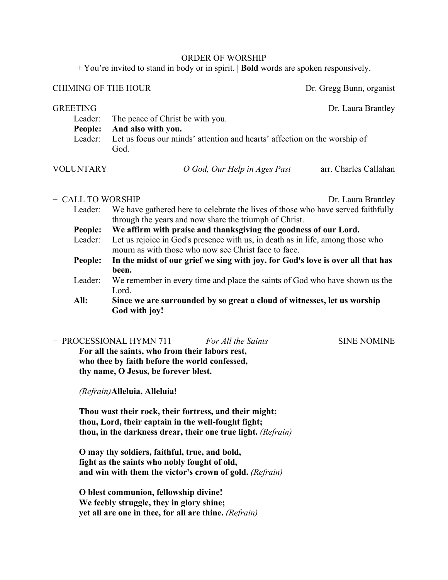#### ORDER OF WORSHIP

+ You're invited to stand in body or in spirit. | **Bold** words are spoken responsively.

## CHIMING OF THE HOUR Dr. Gregg Bunn, organist

GREETING Dr. Laura Brantley

Leader: The peace of Christ be with you. **People: And also with you.** Leader: Let us focus our minds' attention and hearts' affection on the worship of God.

VOLUNTARY *O God, Our Help in Ages Past* arr. Charles Callahan

## + CALL TO WORSHIP Dr. Laura Brantley

Leader: We have gathered here to celebrate the lives of those who have served faithfully through the years and now share the triumph of Christ.

**People: We affirm with praise and thanksgiving the goodness of our Lord.**

- Leader: Let us rejoice in God's presence with us, in death as in life, among those who mourn as with those who now see Christ face to face.
- **People: In the midst of our grief we sing with joy, for God's love is over all that has been.**
- Leader: We remember in every time and place the saints of God who have shown us the Lord.
- **All: Since we are surrounded by so great a cloud of witnesses, let us worship God with joy!**

# + PROCESSIONAL HYMN 711 *For All the Saints* SINE NOMINE

**For all the saints, who from their labors rest, who thee by faith before the world confessed, thy name, O Jesus, be forever blest.**

*(Refrain)***Alleluia, Alleluia!**

**Thou wast their rock, their fortress, and their might; thou, Lord, their captain in the well-fought fight; thou, in the darkness drear, their one true light.** *(Refrain)*

**O may thy soldiers, faithful, true, and bold, fight as the saints who nobly fought of old, and win with them the victor's crown of gold.** *(Refrain)*

**O blest communion, fellowship divine! We feebly struggle, they in glory shine; yet all are one in thee, for all are thine.** *(Refrain)*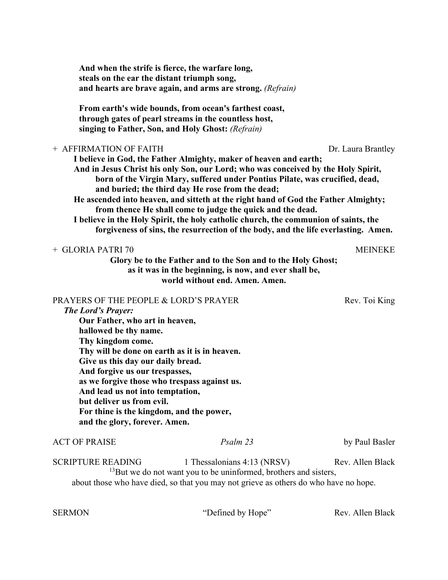| And when the strife is fierce, the warfare long,<br>steals on the ear the distant triumph song,                                                                                                                                                                                                                                                                                                                                                                          | and hearts are brave again, and arms are strong. (Refrain)                                                                                                                                                                                                                                                                                                                                                                                                                                                                                                                                                                   |                    |
|--------------------------------------------------------------------------------------------------------------------------------------------------------------------------------------------------------------------------------------------------------------------------------------------------------------------------------------------------------------------------------------------------------------------------------------------------------------------------|------------------------------------------------------------------------------------------------------------------------------------------------------------------------------------------------------------------------------------------------------------------------------------------------------------------------------------------------------------------------------------------------------------------------------------------------------------------------------------------------------------------------------------------------------------------------------------------------------------------------------|--------------------|
|                                                                                                                                                                                                                                                                                                                                                                                                                                                                          | From earth's wide bounds, from ocean's farthest coast,<br>through gates of pearl streams in the countless host,<br>singing to Father, Son, and Holy Ghost: (Refrain)                                                                                                                                                                                                                                                                                                                                                                                                                                                         |                    |
| + AFFIRMATION OF FAITH                                                                                                                                                                                                                                                                                                                                                                                                                                                   | I believe in God, the Father Almighty, maker of heaven and earth;<br>And in Jesus Christ his only Son, our Lord; who was conceived by the Holy Spirit,<br>born of the Virgin Mary, suffered under Pontius Pilate, was crucified, dead,<br>and buried; the third day He rose from the dead;<br>He ascended into heaven, and sitteth at the right hand of God the Father Almighty;<br>from thence He shall come to judge the quick and the dead.<br>I believe in the Holy Spirit, the holy catholic church, the communion of saints, the<br>forgiveness of sins, the resurrection of the body, and the life everlasting. Amen. | Dr. Laura Brantley |
| + GLORIA PATRI 70                                                                                                                                                                                                                                                                                                                                                                                                                                                        | Glory be to the Father and to the Son and to the Holy Ghost;<br>as it was in the beginning, is now, and ever shall be,<br>world without end. Amen. Amen.                                                                                                                                                                                                                                                                                                                                                                                                                                                                     | <b>MEINEKE</b>     |
| PRAYERS OF THE PEOPLE & LORD'S PRAYER<br><b>The Lord's Prayer:</b><br>Our Father, who art in heaven,<br>hallowed be thy name.<br>Thy kingdom come.<br>Thy will be done on earth as it is in heaven.<br>Give us this day our daily bread.<br>And forgive us our trespasses,<br>as we forgive those who trespass against us.<br>And lead us not into temptation,<br>but deliver us from evil.<br>For thine is the kingdom, and the power,<br>and the glory, forever. Amen. |                                                                                                                                                                                                                                                                                                                                                                                                                                                                                                                                                                                                                              | Rev. Toi King      |
| <b>ACT OF PRAISE</b>                                                                                                                                                                                                                                                                                                                                                                                                                                                     | Psalm 23                                                                                                                                                                                                                                                                                                                                                                                                                                                                                                                                                                                                                     | by Paul Basler     |
| <b>SCRIPTURE READING</b>                                                                                                                                                                                                                                                                                                                                                                                                                                                 | 1 Thessalonians 4:13 (NRSV)<br><sup>13</sup> But we do not want you to be uninformed, brothers and sisters,<br>about those who have died, so that you may not grieve as others do who have no hope.                                                                                                                                                                                                                                                                                                                                                                                                                          | Rev. Allen Black   |

SERMON "Defined by Hope" Rev. Allen Black